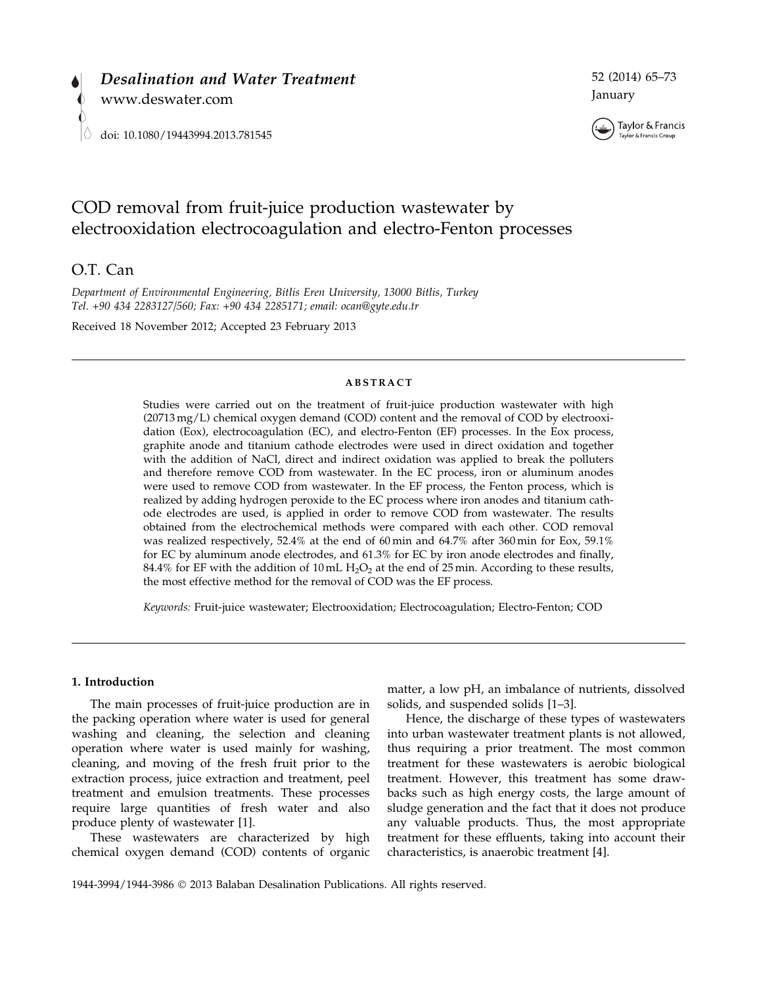

52 (2014) 65–73 January



# COD removal from fruit-juice production wastewater by electrooxidation electrocoagulation and electro-Fenton processes

## O.T. Can

Department of Environmental Engineering, Bitlis Eren University, 13000 Bitlis, Turkey Tel. +90 434 2283127/560; Fax: +90 434 2285171; email: ocan@gyte.edu.tr

Received 18 November 2012; Accepted 23 February 2013

#### ABSTRACT

Studies were carried out on the treatment of fruit-juice production wastewater with high (20713 mg/L) chemical oxygen demand (COD) content and the removal of COD by electrooxidation (Eox), electrocoagulation (EC), and electro-Fenton (EF) processes. In the Eox process, graphite anode and titanium cathode electrodes were used in direct oxidation and together with the addition of NaCl, direct and indirect oxidation was applied to break the polluters and therefore remove COD from wastewater. In the EC process, iron or aluminum anodes were used to remove COD from wastewater. In the EF process, the Fenton process, which is realized by adding hydrogen peroxide to the EC process where iron anodes and titanium cathode electrodes are used, is applied in order to remove COD from wastewater. The results obtained from the electrochemical methods were compared with each other. COD removal was realized respectively, 52.4% at the end of 60 min and 64.7% after 360 min for Eox, 59.1% for EC by aluminum anode electrodes, and 61.3% for EC by iron anode electrodes and finally, 84.4% for EF with the addition of 10 mL  $H_2O_2$  at the end of 25 min. According to these results, the most effective method for the removal of COD was the EF process.

Keywords: Fruit-juice wastewater; Electrooxidation; Electrocoagulation; Electro-Fenton; COD

#### 1. Introduction

The main processes of fruit-juice production are in the packing operation where water is used for general washing and cleaning, the selection and cleaning operation where water is used mainly for washing, cleaning, and moving of the fresh fruit prior to the extraction process, juice extraction and treatment, peel treatment and emulsion treatments. These processes require large quantities of fresh water and also produce plenty of wastewater [1].

These wastewaters are characterized by high chemical oxygen demand (COD) contents of organic

matter, a low pH, an imbalance of nutrients, dissolved solids, and suspended solids [1–3].

Hence, the discharge of these types of wastewaters into urban wastewater treatment plants is not allowed, thus requiring a prior treatment. The most common treatment for these wastewaters is aerobic biological treatment. However, this treatment has some drawbacks such as high energy costs, the large amount of sludge generation and the fact that it does not produce any valuable products. Thus, the most appropriate treatment for these effluents, taking into account their characteristics, is anaerobic treatment [4].

1944-3994/1944-3986 2013 Balaban Desalination Publications. All rights reserved.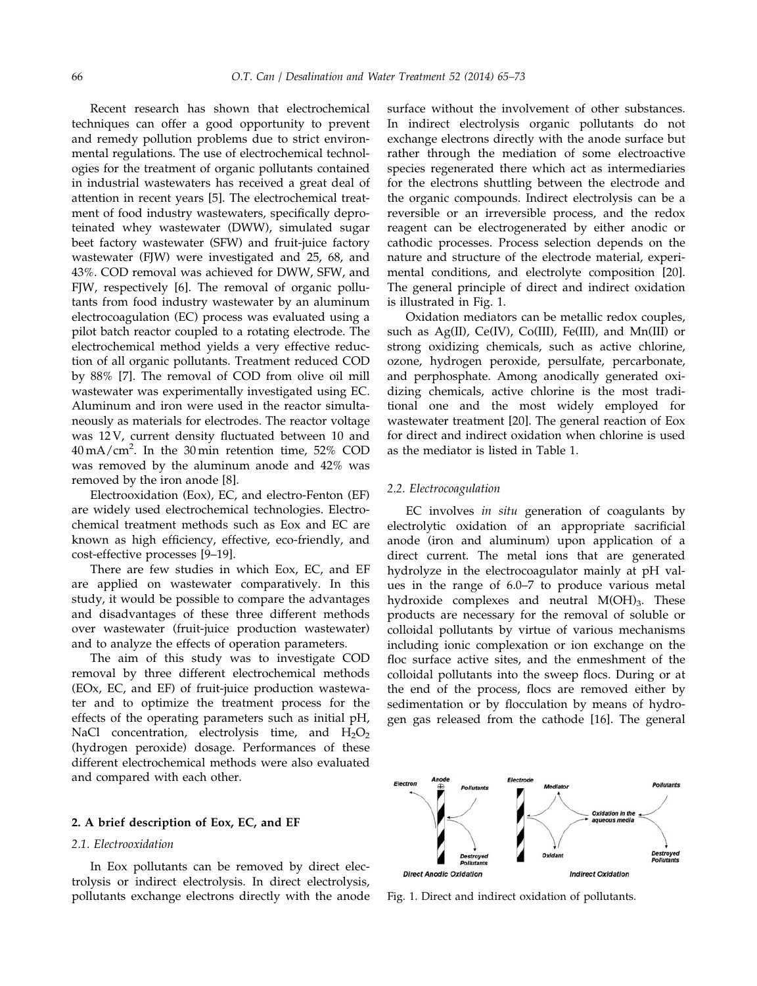Recent research has shown that electrochemical techniques can offer a good opportunity to prevent and remedy pollution problems due to strict environmental regulations. The use of electrochemical technologies for the treatment of organic pollutants contained in industrial wastewaters has received a great deal of attention in recent years [5]. The electrochemical treatment of food industry wastewaters, specifically deproteinated whey wastewater (DWW), simulated sugar beet factory wastewater (SFW) and fruit-juice factory wastewater (FJW) were investigated and 25, 68, and 43%. COD removal was achieved for DWW, SFW, and FJW, respectively [6]. The removal of organic pollutants from food industry wastewater by an aluminum electrocoagulation (EC) process was evaluated using a pilot batch reactor coupled to a rotating electrode. The electrochemical method yields a very effective reduction of all organic pollutants. Treatment reduced COD by 88% [7]. The removal of COD from olive oil mill wastewater was experimentally investigated using EC. Aluminum and iron were used in the reactor simultaneously as materials for electrodes. The reactor voltage was 12 V, current density fluctuated between 10 and  $40 \,\mathrm{mA/cm}^2$ . In the 30 min retention time, 52% COD was removed by the aluminum anode and 42% was removed by the iron anode [8].

Electrooxidation (Eox), EC, and electro-Fenton (EF) are widely used electrochemical technologies. Electrochemical treatment methods such as Eox and EC are known as high efficiency, effective, eco-friendly, and cost-effective processes [9–19].

There are few studies in which Eox, EC, and EF are applied on wastewater comparatively. In this study, it would be possible to compare the advantages and disadvantages of these three different methods over wastewater (fruit-juice production wastewater) and to analyze the effects of operation parameters.

The aim of this study was to investigate COD removal by three different electrochemical methods (EOx, EC, and EF) of fruit-juice production wastewater and to optimize the treatment process for the effects of the operating parameters such as initial pH, NaCl concentration, electrolysis time, and  $H_2O_2$ (hydrogen peroxide) dosage. Performances of these different electrochemical methods were also evaluated and compared with each other.

## 2. A brief description of Eox, EC, and EF

## 2.1. Electrooxidation

In Eox pollutants can be removed by direct electrolysis or indirect electrolysis. In direct electrolysis, pollutants exchange electrons directly with the anode surface without the involvement of other substances. In indirect electrolysis organic pollutants do not exchange electrons directly with the anode surface but rather through the mediation of some electroactive species regenerated there which act as intermediaries for the electrons shuttling between the electrode and the organic compounds. Indirect electrolysis can be a reversible or an irreversible process, and the redox reagent can be electrogenerated by either anodic or cathodic processes. Process selection depends on the nature and structure of the electrode material, experimental conditions, and electrolyte composition [20]. The general principle of direct and indirect oxidation is illustrated in Fig. 1.

Oxidation mediators can be metallic redox couples, such as  $Ag(II)$ ,  $Ce(IV)$ ,  $Co(III)$ ,  $Fe(III)$ , and  $Mn(III)$  or strong oxidizing chemicals, such as active chlorine, ozone, hydrogen peroxide, persulfate, percarbonate, and perphosphate. Among anodically generated oxidizing chemicals, active chlorine is the most traditional one and the most widely employed for wastewater treatment [20]. The general reaction of Eox for direct and indirect oxidation when chlorine is used as the mediator is listed in Table 1.

#### 2.2. Electrocoagulation

EC involves in situ generation of coagulants by electrolytic oxidation of an appropriate sacrificial anode (iron and aluminum) upon application of a direct current. The metal ions that are generated hydrolyze in the electrocoagulator mainly at pH values in the range of 6.0–7 to produce various metal hydroxide complexes and neutral  $M(OH)_{3}$ . These products are necessary for the removal of soluble or colloidal pollutants by virtue of various mechanisms including ionic complexation or ion exchange on the floc surface active sites, and the enmeshment of the colloidal pollutants into the sweep flocs. During or at the end of the process, flocs are removed either by sedimentation or by flocculation by means of hydrogen gas released from the cathode [16]. The general



Fig. 1. Direct and indirect oxidation of pollutants.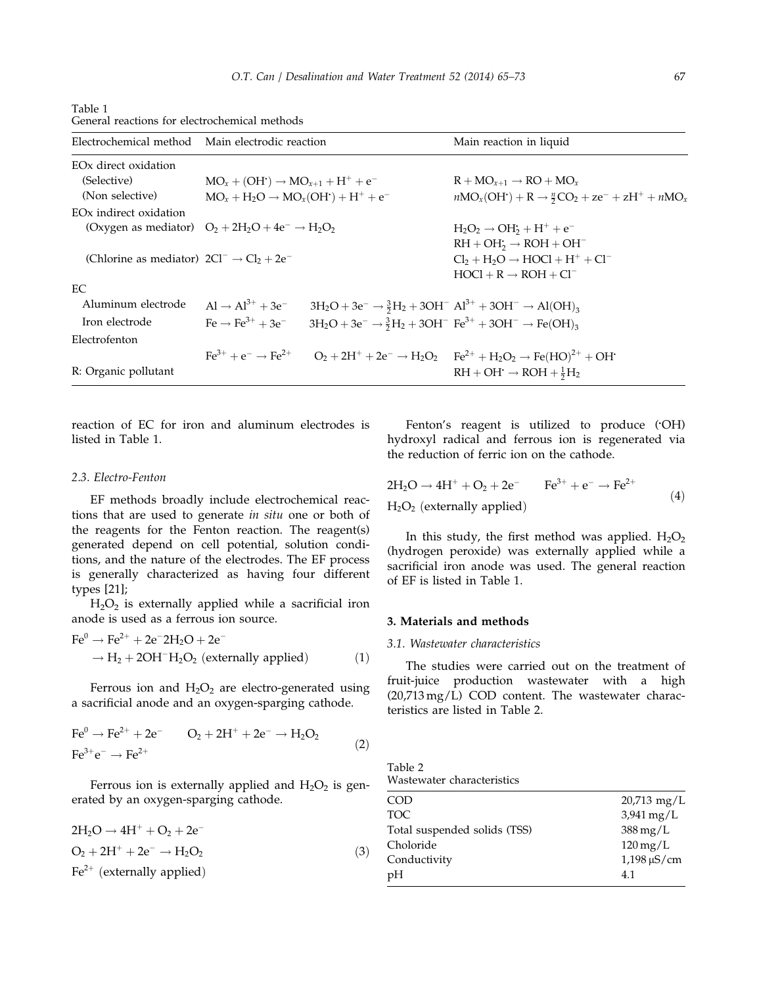| Electrochemical method                                       | Main electrodic reaction                                 |                                                                                                                         | Main reaction in liquid                                                                                                    |  |  |
|--------------------------------------------------------------|----------------------------------------------------------|-------------------------------------------------------------------------------------------------------------------------|----------------------------------------------------------------------------------------------------------------------------|--|--|
| EO <sub>x</sub> direct oxidation                             |                                                          |                                                                                                                         |                                                                                                                            |  |  |
| (Selective)                                                  | $MO_{r} + (OH^{2}) \rightarrow MO_{r+1} + H^{+} + e^{-}$ |                                                                                                                         | $R + MO_{r+1} \rightarrow RO + MO_r$                                                                                       |  |  |
| (Non selective)                                              | $MO_x + H_2O \rightarrow MO_x(OH^+) + H^+ + e^-$         |                                                                                                                         | $nMO_x(OH^+) + R \rightarrow \frac{n}{2}CO_2 + ze^- + zH^+ + nMO_x$                                                        |  |  |
| EO <sub>x</sub> indirect oxidation                           |                                                          |                                                                                                                         |                                                                                                                            |  |  |
| (Oxygen as mediator) $O_2 + 2H_2O + 4e^- \rightarrow H_2O_2$ |                                                          |                                                                                                                         | $H_2O_2 \rightarrow OH_2 + H^+ + e^-$                                                                                      |  |  |
|                                                              |                                                          |                                                                                                                         | $RH + OH_2 \rightarrow ROH + OH^-$                                                                                         |  |  |
| (Chlorine as mediator) $2Cl^{-} \rightarrow Cl_{2} + 2e^{-}$ |                                                          |                                                                                                                         | $Cl2 + H2O \rightarrow HOCl + H+ + Cl-$                                                                                    |  |  |
|                                                              |                                                          |                                                                                                                         | $HOCI + R \rightarrow ROH + Cl^-$                                                                                          |  |  |
| EC.                                                          |                                                          |                                                                                                                         |                                                                                                                            |  |  |
| Aluminum electrode                                           | $Al \rightarrow Al^{3+} + 3e^-$                          | $3H_2O + 3e^- \rightarrow \frac{3}{2}H_2 + 3OH^ Al^{3+} + 3OH^- \rightarrow Al(OH)_3$                                   |                                                                                                                            |  |  |
| Iron electrode                                               | $\text{Fe} \rightarrow \text{Fe}^{3+} + 3\text{e}^{-}$   | $3H_2O + 3e^- \rightarrow \frac{3}{2}H_2 + 3OH^-$ Fe <sup>3+</sup> + 3OH <sup>-</sup> $\rightarrow$ Fe(OH) <sub>3</sub> |                                                                                                                            |  |  |
| Electrofenton                                                |                                                          |                                                                                                                         |                                                                                                                            |  |  |
|                                                              |                                                          |                                                                                                                         | $Fe^{3+} + e^- \rightarrow Fe^{2+}$ $O_2 + 2H^+ + 2e^- \rightarrow H_2O_2$ $Fe^{2+} + H_2O_2 \rightarrow Fe(HO)^{2+} + OH$ |  |  |
| R: Organic pollutant                                         |                                                          |                                                                                                                         | $RH + OH \rightarrow ROH + \frac{1}{2}H_2$                                                                                 |  |  |

| Table 1 |                                               |
|---------|-----------------------------------------------|
|         | General reactions for electrochemical methods |

reaction of EC for iron and aluminum electrodes is listed in Table 1.

## 2.3. Electro-Fenton

EF methods broadly include electrochemical reactions that are used to generate in situ one or both of the reagents for the Fenton reaction. The reagent(s) generated depend on cell potential, solution conditions, and the nature of the electrodes. The EF process is generally characterized as having four different types [21];

 $H_2O_2$  is externally applied while a sacrificial iron anode is used as a ferrous ion source.

$$
\text{Fe}^{0} \rightarrow \text{Fe}^{2+} + 2\text{e}^{-2H_{2}\text{O} + 2\text{e}^{-}} \rightarrow H_{2} + 2\text{OH}^{-}H_{2}\text{O}_{2} \text{ (externally applied)}
$$
 (1)

Ferrous ion and  $H_2O_2$  are electro-generated using a sacrificial anode and an oxygen-sparging cathode.

$$
\text{Fe}^{0} \to \text{Fe}^{2+} + 2\text{e}^{-} \qquad \text{O}_{2} + 2\text{H}^{+} + 2\text{e}^{-} \to \text{H}_{2}\text{O}_{2} \tag{2}
$$
\n
$$
\text{Fe}^{3+}\text{e}^{-} \to \text{Fe}^{2+}
$$

Ferrous ion is externally applied and  $H_2O_2$  is generated by an oxygen-sparging cathode.

| $2H_2O \rightarrow 4H^+ + O_2 + 2e^-$  |     |
|----------------------------------------|-----|
| $O_2 + 2H^+ + 2e^- \rightarrow H_2O_2$ | (3) |
| $\text{Fe}^{2+}$ (externally applied)  |     |

Fenton's reagent is utilized to produce ( OH) hydroxyl radical and ferrous ion is regenerated via the reduction of ferric ion on the cathode.

$$
2H2O \rightarrow 4H+ + O2 + 2e- Fe3+ + e- \rightarrow Fe2+
$$
  
H<sub>2</sub>O<sub>2</sub> (externally applied) (4)

In this study, the first method was applied.  $H_2O_2$ (hydrogen peroxide) was externally applied while a sacrificial iron anode was used. The general reaction of EF is listed in Table 1.

## 3. Materials and methods

## 3.1. Wastewater characteristics

The studies were carried out on the treatment of fruit-juice production wastewater with a high (20,713 mg/L) COD content. The wastewater characteristics are listed in Table 2.

| Table 2 |                            |  |
|---------|----------------------------|--|
|         | Wastewater characteristics |  |

| <b>COD</b>                   | $20,713$ mg/L                 |
|------------------------------|-------------------------------|
| TOC.                         | $3,941 \,\mathrm{mg/L}$       |
| Total suspended solids (TSS) | $388 \,\mathrm{mg/L}$         |
| Choloride                    | $120 \,\mathrm{mg/L}$         |
| Conductivity                 | $1,198 \,\mathrm{\upmu S/cm}$ |
| pH                           | 4.1                           |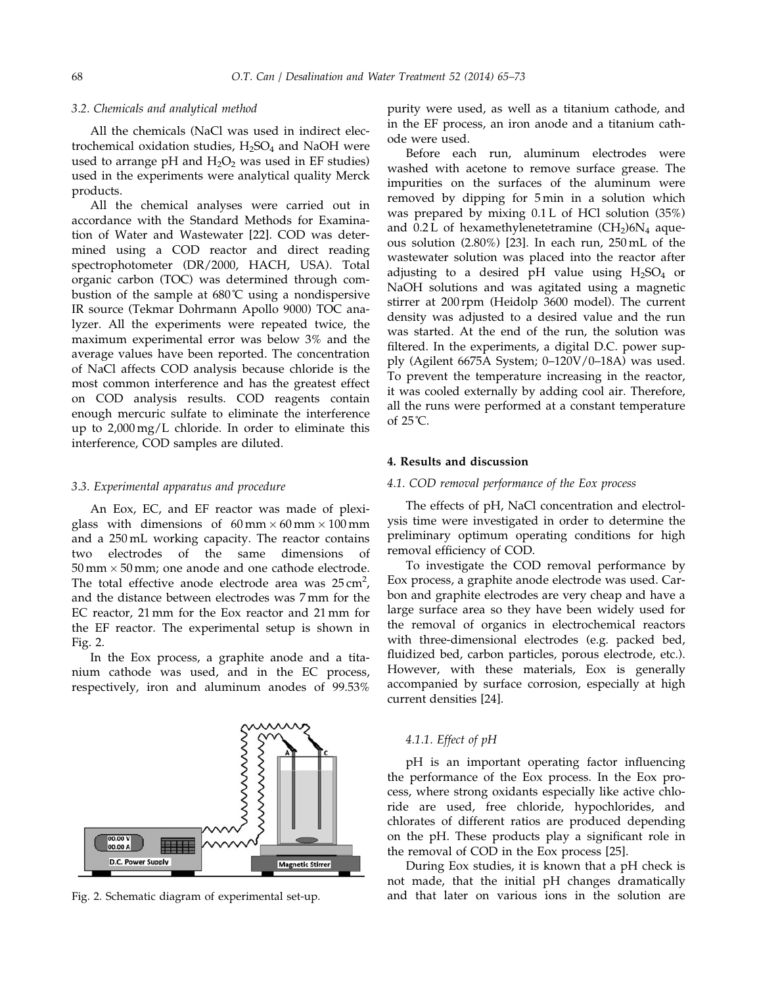#### 3.2. Chemicals and analytical method

All the chemicals (NaCl was used in indirect electrochemical oxidation studies,  $H_2SO_4$  and NaOH were used to arrange pH and  $H_2O_2$  was used in EF studies) used in the experiments were analytical quality Merck products.

All the chemical analyses were carried out in accordance with the Standard Methods for Examination of Water and Wastewater [22]. COD was determined using a COD reactor and direct reading spectrophotometer (DR/2000, HACH, USA). Total organic carbon (TOC) was determined through combustion of the sample at 680˚C using a nondispersive IR source (Tekmar Dohrmann Apollo 9000) TOC analyzer. All the experiments were repeated twice, the maximum experimental error was below 3% and the average values have been reported. The concentration of NaCl affects COD analysis because chloride is the most common interference and has the greatest effect on COD analysis results. COD reagents contain enough mercuric sulfate to eliminate the interference up to 2,000 mg/L chloride. In order to eliminate this interference, COD samples are diluted.

#### 3.3. Experimental apparatus and procedure

An Eox, EC, and EF reactor was made of plexiglass with dimensions of  $60 \text{ mm} \times 60 \text{ mm} \times 100 \text{ mm}$ and a 250 mL working capacity. The reactor contains two electrodes of the same dimensions of  $50 \text{ mm} \times 50 \text{ mm}$ ; one anode and one cathode electrode. The total effective anode electrode area was  $25 \text{ cm}^2$ , and the distance between electrodes was 7 mm for the EC reactor, 21 mm for the Eox reactor and 21 mm for the EF reactor. The experimental setup is shown in Fig. 2.

In the Eox process, a graphite anode and a titanium cathode was used, and in the EC process, respectively, iron and aluminum anodes of 99.53%



purity were used, as well as a titanium cathode, and in the EF process, an iron anode and a titanium cathode were used.

Before each run, aluminum electrodes were washed with acetone to remove surface grease. The impurities on the surfaces of the aluminum were removed by dipping for 5 min in a solution which was prepared by mixing 0.1 L of HCl solution (35%) and  $0.2$  L of hexamethylenetetramine  $(CH<sub>2</sub>)6N<sub>4</sub>$  aqueous solution (2.80%) [23]. In each run, 250 mL of the wastewater solution was placed into the reactor after adjusting to a desired pH value using  $H_2SO_4$  or NaOH solutions and was agitated using a magnetic stirrer at 200 rpm (Heidolp 3600 model). The current density was adjusted to a desired value and the run was started. At the end of the run, the solution was filtered. In the experiments, a digital D.C. power supply (Agilent 6675A System; 0–120V/0–18A) was used. To prevent the temperature increasing in the reactor, it was cooled externally by adding cool air. Therefore, all the runs were performed at a constant temperature of 25˚C.

## 4. Results and discussion

## 4.1. COD removal performance of the Eox process

The effects of pH, NaCl concentration and electrolysis time were investigated in order to determine the preliminary optimum operating conditions for high removal efficiency of COD.

To investigate the COD removal performance by Eox process, a graphite anode electrode was used. Carbon and graphite electrodes are very cheap and have a large surface area so they have been widely used for the removal of organics in electrochemical reactors with three-dimensional electrodes (e.g. packed bed, fluidized bed, carbon particles, porous electrode, etc.). However, with these materials, Eox is generally accompanied by surface corrosion, especially at high current densities [24].

## 4.1.1. Effect of pH

pH is an important operating factor influencing the performance of the Eox process. In the Eox process, where strong oxidants especially like active chloride are used, free chloride, hypochlorides, and chlorates of different ratios are produced depending on the pH. These products play a significant role in the removal of COD in the Eox process [25].

During Eox studies, it is known that a pH check is not made, that the initial pH changes dramatically Fig. 2. Schematic diagram of experimental set-up. and that later on various ions in the solution are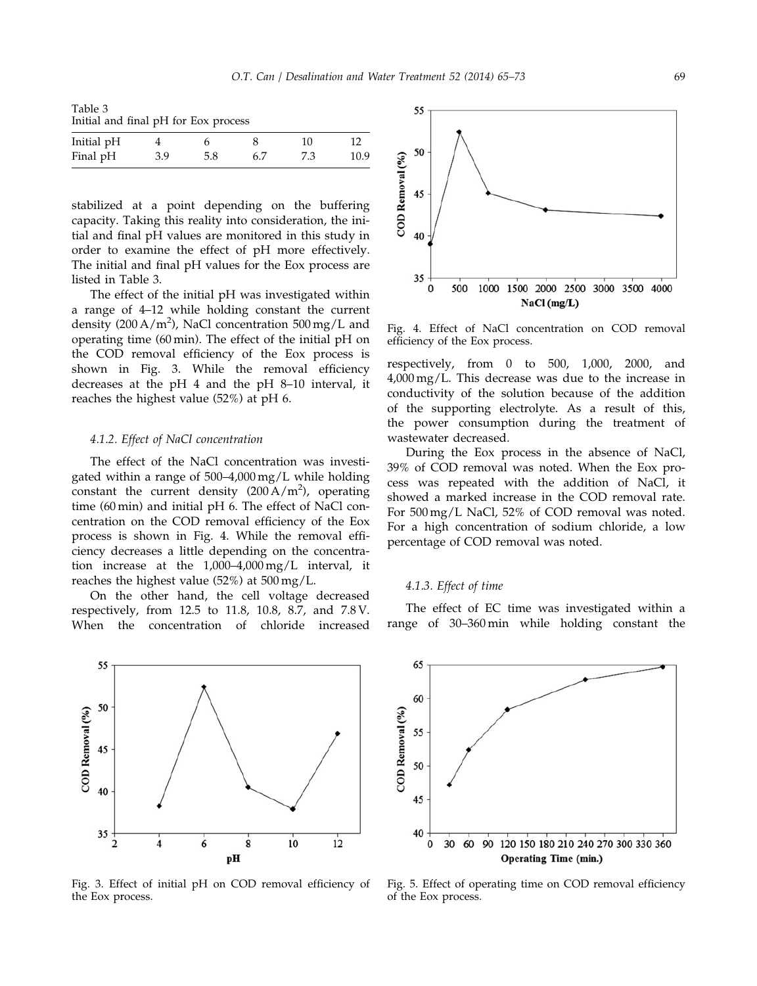Table 3 Initial and final pH for Eox process

| Initial pH |     |     |     | 10  |      |
|------------|-----|-----|-----|-----|------|
| Final pH   | 3.9 | 5.8 | 6.7 | 7.3 | 10.9 |

stabilized at a point depending on the buffering capacity. Taking this reality into consideration, the initial and final pH values are monitored in this study in order to examine the effect of pH more effectively. The initial and final pH values for the Eox process are listed in Table 3.

The effect of the initial pH was investigated within a range of 4–12 while holding constant the current density (200 A/m<sup>2</sup>), NaCl concentration  $500 \,\text{mg/L}$  and operating time (60 min). The effect of the initial pH on the COD removal efficiency of the Eox process is shown in Fig. 3. While the removal efficiency decreases at the pH 4 and the pH 8–10 interval, it reaches the highest value (52%) at pH 6.

#### 4.1.2. Effect of NaCl concentration

The effect of the NaCl concentration was investigated within a range of 500–4,000 mg/L while holding constant the current density  $(200 \text{ A/m}^2)$ , operating time (60 min) and initial pH 6. The effect of NaCl concentration on the COD removal efficiency of the Eox process is shown in Fig. 4. While the removal efficiency decreases a little depending on the concentration increase at the 1,000–4,000 mg/L interval, it reaches the highest value (52%) at 500 mg/L.

On the other hand, the cell voltage decreased respectively, from 12.5 to 11.8, 10.8, 8.7, and 7.8 V. When the concentration of chloride increased



Fig. 3. Effect of initial pH on COD removal efficiency of the Eox process.



Fig. 4. Effect of NaCl concentration on COD removal efficiency of the Eox process.

respectively, from 0 to 500, 1,000, 2000, and 4,000 mg/L. This decrease was due to the increase in conductivity of the solution because of the addition of the supporting electrolyte. As a result of this, the power consumption during the treatment of wastewater decreased.

During the Eox process in the absence of NaCl, 39% of COD removal was noted. When the Eox process was repeated with the addition of NaCl, it showed a marked increase in the COD removal rate. For 500 mg/L NaCl, 52% of COD removal was noted. For a high concentration of sodium chloride, a low percentage of COD removal was noted.

## 4.1.3. Effect of time

The effect of EC time was investigated within a range of 30–360 min while holding constant the



Fig. 5. Effect of operating time on COD removal efficiency of the Eox process.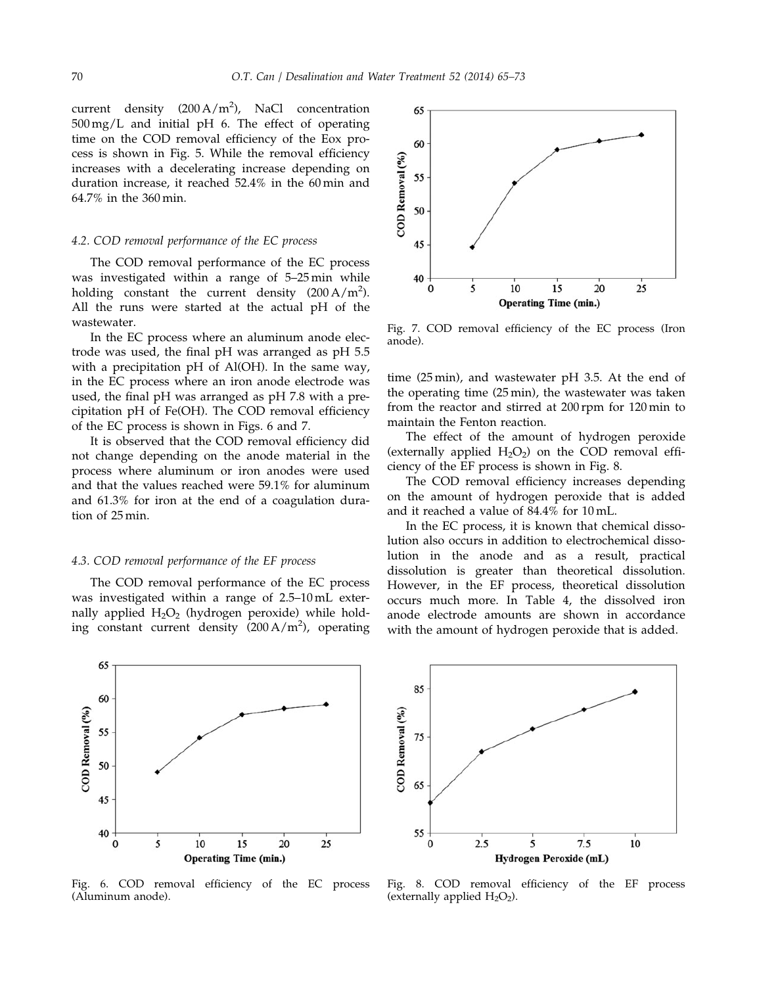current density  $(200 \text{ A/m}^2)$ , NaCl concentration 500 mg/L and initial pH 6. The effect of operating time on the COD removal efficiency of the Eox process is shown in Fig. 5. While the removal efficiency increases with a decelerating increase depending on duration increase, it reached 52.4% in the 60 min and 64.7% in the 360 min.

#### 4.2. COD removal performance of the EC process

The COD removal performance of the EC process was investigated within a range of 5–25 min while holding constant the current density  $(200 \text{ A/m}^2)$ . All the runs were started at the actual pH of the wastewater.

In the EC process where an aluminum anode electrode was used, the final pH was arranged as pH 5.5 with a precipitation pH of Al(OH). In the same way, in the EC process where an iron anode electrode was used, the final pH was arranged as pH 7.8 with a precipitation pH of Fe(OH). The COD removal efficiency of the EC process is shown in Figs. 6 and 7.

It is observed that the COD removal efficiency did not change depending on the anode material in the process where aluminum or iron anodes were used and that the values reached were 59.1% for aluminum and 61.3% for iron at the end of a coagulation duration of 25 min.

#### 4.3. COD removal performance of the EF process

The COD removal performance of the EC process was investigated within a range of 2.5–10 mL externally applied  $H_2O_2$  (hydrogen peroxide) while holding constant current density (200 A/m<sup>2</sup> ), operating



Fig. 7. COD removal efficiency of the EC process (Iron anode).

time (25 min), and wastewater pH 3.5. At the end of the operating time (25 min), the wastewater was taken from the reactor and stirred at 200 rpm for 120 min to maintain the Fenton reaction.

The effect of the amount of hydrogen peroxide (externally applied  $H_2O_2$ ) on the COD removal efficiency of the EF process is shown in Fig. 8.

The COD removal efficiency increases depending on the amount of hydrogen peroxide that is added and it reached a value of 84.4% for 10 mL.

In the EC process, it is known that chemical dissolution also occurs in addition to electrochemical dissolution in the anode and as a result, practical dissolution is greater than theoretical dissolution. However, in the EF process, theoretical dissolution occurs much more. In Table 4, the dissolved iron anode electrode amounts are shown in accordance with the amount of hydrogen peroxide that is added.



Fig. 6. COD removal efficiency of the EC process (Aluminum anode).



Fig. 8. COD removal efficiency of the EF process (externally applied  $H_2O_2$ ).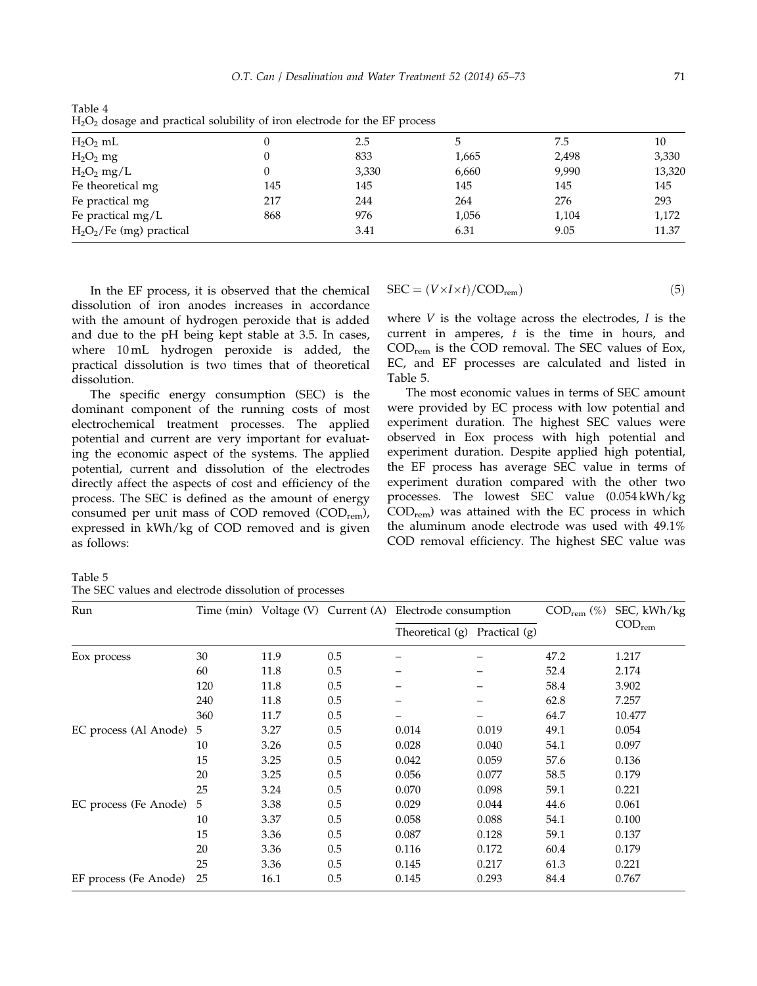| $H_2O_2$ mL                 |     | 2.5   |       | 7.5   | 10     |  |
|-----------------------------|-----|-------|-------|-------|--------|--|
| $H2O2$ mg                   |     | 833   | 1,665 | 2,498 | 3,330  |  |
| $H_2O_2$ mg/L               |     | 3,330 | 6,660 | 9,990 | 13,320 |  |
| Fe theoretical mg           | 145 | 145   | 145   | 145   | 145    |  |
| Fe practical mg             | 217 | 244   | 264   | 276   | 293    |  |
| Fe practical mg/L           | 868 | 976   | 1,056 | 1,104 | 1,172  |  |
| $H_2O_2$ /Fe (mg) practical |     | 3.41  | 6.31  | 9.05  | 11.37  |  |

Table 4  $H<sub>2</sub>O<sub>2</sub>$  dosage and practical solubility of iron electrode for the EF process

In the EF process, it is observed that the chemical dissolution of iron anodes increases in accordance with the amount of hydrogen peroxide that is added and due to the pH being kept stable at 3.5. In cases, where 10 mL hydrogen peroxide is added, the practical dissolution is two times that of theoretical dissolution.

The specific energy consumption (SEC) is the dominant component of the running costs of most electrochemical treatment processes. The applied potential and current are very important for evaluating the economic aspect of the systems. The applied potential, current and dissolution of the electrodes directly affect the aspects of cost and efficiency of the process. The SEC is defined as the amount of energy consumed per unit mass of COD removed  $(COD_{rem})$ , expressed in kWh/kg of COD removed and is given as follows:

$$
SEC = (V \times I \times t) / COD_{rem})
$$
 (5)

where  $V$  is the voltage across the electrodes,  $I$  is the current in amperes,  $t$  is the time in hours, and  $\text{COD}_{\text{rem}}$  is the COD removal. The SEC values of Eox, EC, and EF processes are calculated and listed in Table 5.

The most economic values in terms of SEC amount were provided by EC process with low potential and experiment duration. The highest SEC values were observed in Eox process with high potential and experiment duration. Despite applied high potential, the EF process has average SEC value in terms of experiment duration compared with the other two processes. The lowest SEC value (0.054 kWh/kg  $\text{COD}_{\text{rem}}$ ) was attained with the EC process in which the aluminum anode electrode was used with 49.1% COD removal efficiency. The highest SEC value was

Table 5 The SEC values and electrode dissolution of processes

| Run                   |     | Time (min) Voltage (V) |     | Current (A) Electrode consumption |               | $\mathrm{COD}_{\mathrm{rem}}\ (\%)$ | SEC, kWh/kg                 |
|-----------------------|-----|------------------------|-----|-----------------------------------|---------------|-------------------------------------|-----------------------------|
|                       |     |                        |     | Theoretical (g)                   | Practical (g) |                                     | $\mathrm{COD}_\mathrm{rem}$ |
| Eox process           | 30  | 11.9                   | 0.5 |                                   |               | 47.2                                | 1.217                       |
|                       | 60  | 11.8                   | 0.5 |                                   |               | 52.4                                | 2.174                       |
|                       | 120 | 11.8                   | 0.5 |                                   |               | 58.4                                | 3.902                       |
|                       | 240 | 11.8                   | 0.5 |                                   |               | 62.8                                | 7.257                       |
|                       | 360 | 11.7                   | 0.5 |                                   |               | 64.7                                | 10.477                      |
| EC process (Al Anode) | 5   | 3.27                   | 0.5 | 0.014                             | 0.019         | 49.1                                | 0.054                       |
|                       | 10  | 3.26                   | 0.5 | 0.028                             | 0.040         | 54.1                                | 0.097                       |
|                       | 15  | 3.25                   | 0.5 | 0.042                             | 0.059         | 57.6                                | 0.136                       |
|                       | 20  | 3.25                   | 0.5 | 0.056                             | 0.077         | 58.5                                | 0.179                       |
|                       | 25  | 3.24                   | 0.5 | 0.070                             | 0.098         | 59.1                                | 0.221                       |
| EC process (Fe Anode) | 5   | 3.38                   | 0.5 | 0.029                             | 0.044         | 44.6                                | 0.061                       |
|                       | 10  | 3.37                   | 0.5 | 0.058                             | 0.088         | 54.1                                | 0.100                       |
|                       | 15  | 3.36                   | 0.5 | 0.087                             | 0.128         | 59.1                                | 0.137                       |
|                       | 20  | 3.36                   | 0.5 | 0.116                             | 0.172         | 60.4                                | 0.179                       |
|                       | 25  | 3.36                   | 0.5 | 0.145                             | 0.217         | 61.3                                | 0.221                       |
| EF process (Fe Anode) | 25  | 16.1                   | 0.5 | 0.145                             | 0.293         | 84.4                                | 0.767                       |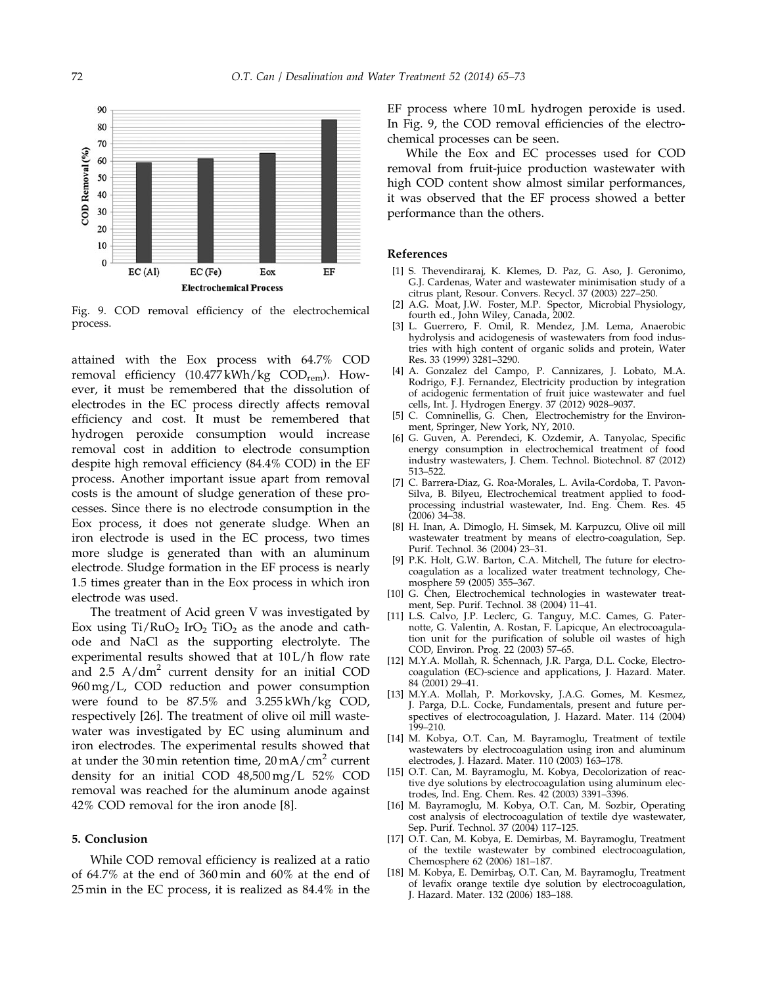

Fig. 9. COD removal efficiency of the electrochemical process.

attained with the Eox process with 64.7% COD removal efficiency (10.477 kWh/kg COD<sub>rem</sub>). However, it must be remembered that the dissolution of electrodes in the EC process directly affects removal efficiency and cost. It must be remembered that hydrogen peroxide consumption would increase removal cost in addition to electrode consumption despite high removal efficiency (84.4% COD) in the EF process. Another important issue apart from removal costs is the amount of sludge generation of these processes. Since there is no electrode consumption in the Eox process, it does not generate sludge. When an iron electrode is used in the EC process, two times more sludge is generated than with an aluminum electrode. Sludge formation in the EF process is nearly 1.5 times greater than in the Eox process in which iron electrode was used.

The treatment of Acid green V was investigated by Eox using  $Ti/RuO<sub>2</sub> IrO<sub>2</sub> TiO<sub>2</sub>$  as the anode and cathode and NaCl as the supporting electrolyte. The experimental results showed that at 10 L/h flow rate and  $2.5$  A/dm<sup>2</sup> current density for an initial COD 960 mg/L, COD reduction and power consumption were found to be 87.5% and 3.255 kWh/kg COD, respectively [26]. The treatment of olive oil mill wastewater was investigated by EC using aluminum and iron electrodes. The experimental results showed that at under the 30 min retention time,  $20 \text{ mA/cm}^2$  current density for an initial COD 48,500 mg/L 52% COD removal was reached for the aluminum anode against 42% COD removal for the iron anode [8].

## 5. Conclusion

While COD removal efficiency is realized at a ratio of 64.7% at the end of 360 min and 60% at the end of 25 min in the EC process, it is realized as 84.4% in the EF process where 10 mL hydrogen peroxide is used. In Fig. 9, the COD removal efficiencies of the electrochemical processes can be seen.

While the Eox and EC processes used for COD removal from fruit-juice production wastewater with high COD content show almost similar performances, it was observed that the EF process showed a better performance than the others.

## References

- [1] S. Thevendiraraj, K. Klemes, D. Paz, G. Aso, J. Geronimo, G.J. Cardenas, Water and wastewater minimisation study of a citrus plant, Resour. Convers. Recycl. 37 (2003) 227–250.
- [2] A.G. Moat, J.W. Foster, M.P. Spector, Microbial Physiology, fourth ed., John Wiley, Canada, 2002.
- [3] L. Guerrero, F. Omil, R. Mendez, J.M. Lema, Anaerobic hydrolysis and acidogenesis of wastewaters from food industries with high content of organic solids and protein, Water Res. 33 (1999) 3281–3290.
- [4] A. Gonzalez del Campo, P. Cannizares, J. Lobato, M.A. Rodrigo, F.J. Fernandez, Electricity production by integration of acidogenic fermentation of fruit juice wastewater and fuel cells, Int. J. Hydrogen Energy. 37 (2012) 9028–9037.
- [5] C. Comninellis, G. Chen, Electrochemistry for the Environment, Springer, New York, NY, 2010.
- [6] G. Guven, A. Perendeci, K. Ozdemir, A. Tanyolac, Specific energy consumption in electrochemical treatment of food industry wastewaters, J. Chem. Technol. Biotechnol. 87 (2012) 513–522.
- [7] C. Barrera-Diaz, G. Roa-Morales, L. Avila-Cordoba, T. Pavon-Silva, B. Bilyeu, Electrochemical treatment applied to foodprocessing industrial wastewater, Ind. Eng. Chem. Res. 45  $(2006)$  34–38.
- [8] H. Inan, A. Dimoglo, H. Simsek, M. Karpuzcu, Olive oil mill wastewater treatment by means of electro-coagulation, Sep. Purif. Technol. 36 (2004) 23–31.
- [9] P.K. Holt, G.W. Barton, C.A. Mitchell, The future for electrocoagulation as a localized water treatment technology, Chemosphere 59 (2005) 355–367.
- [10] G. Chen, Electrochemical technologies in wastewater treatment, Sep. Purif. Technol. 38 (2004) 11-41.
- [11] L.S. Calvo, J.P. Leclerc, G. Tanguy, M.C. Cames, G. Paternotte, G. Valentin, A. Rostan, F. Lapicque, An electrocoagulation unit for the purification of soluble oil wastes of high COD, Environ. Prog. 22 (2003) 57–65.
- [12] M.Y.A. Mollah, R. Schennach, J.R. Parga, D.L. Cocke, Electrocoagulation (EC)-science and applications, J. Hazard. Mater. 84 (2001) 29–41.
- [13] M.Y.A. Mollah, P. Morkovsky, J.A.G. Gomes, M. Kesmez, J. Parga, D.L. Cocke, Fundamentals, present and future perspectives of electrocoagulation, J. Hazard. Mater. 114 (2004) 199–210.
- [14] M. Kobya, O.T. Can, M. Bayramoglu, Treatment of textile wastewaters by electrocoagulation using iron and aluminum electrodes, J. Hazard. Mater. 110 (2003) 163–178.
- [15] O.T. Can, M. Bayramoglu, M. Kobya, Decolorization of reactive dye solutions by electrocoagulation using aluminum electrodes, Ind. Eng. Chem. Res. 42 (2003) 3391–3396.
- [16] M. Bayramoglu, M. Kobya, O.T. Can, M. Sozbir, Operating cost analysis of electrocoagulation of textile dye wastewater, Sep. Purif. Technol. 37 (2004) 117–125.
- [17] O.T. Can, M. Kobya, E. Demirbas, M. Bayramoglu, Treatment of the textile wastewater by combined electrocoagulation, Chemosphere 62 (2006) 181–187.
- [18] M. Kobya, E. Demirbaş, O.T. Can, M. Bayramoglu, Treatment of levafix orange textile dye solution by electrocoagulation, J. Hazard. Mater. 132 (2006) 183–188.